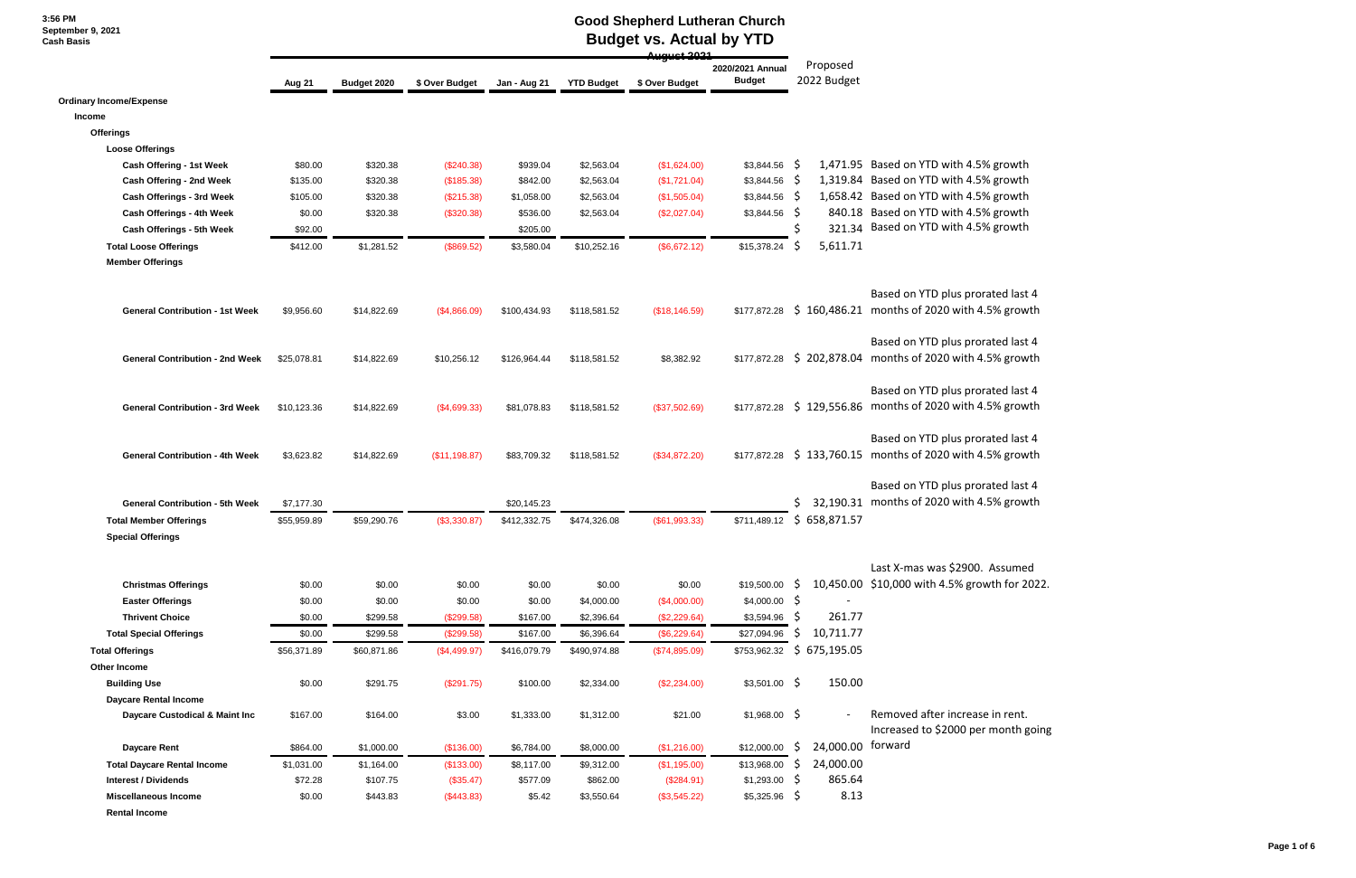#### **Good Shepherd Lutheran Church Budget vs. Actual by YTD**

|                                        |             |             |                |              |                   | <b>August 2024</b> |                                   |                         |                                                                               |  |  |  |
|----------------------------------------|-------------|-------------|----------------|--------------|-------------------|--------------------|-----------------------------------|-------------------------|-------------------------------------------------------------------------------|--|--|--|
|                                        | Aug 21      | Budget 2020 | \$ Over Budget | Jan - Aug 21 | <b>YTD Budget</b> | \$ Over Budget     | 2020/2021 Annual<br><b>Budget</b> | Proposed<br>2022 Budget |                                                                               |  |  |  |
| <b>Ordinary Income/Expense</b>         |             |             |                |              |                   |                    |                                   |                         |                                                                               |  |  |  |
| Income                                 |             |             |                |              |                   |                    |                                   |                         |                                                                               |  |  |  |
| <b>Offerings</b>                       |             |             |                |              |                   |                    |                                   |                         |                                                                               |  |  |  |
| <b>Loose Offerings</b>                 |             |             |                |              |                   |                    |                                   |                         |                                                                               |  |  |  |
| Cash Offering - 1st Week               | \$80.00     | \$320.38    | (\$240.38)     | \$939.04     | \$2,563.04        | (\$1,624.00)       | $$3,844.56$ \$                    |                         | 1,471.95 Based on YTD with 4.5% growth                                        |  |  |  |
| <b>Cash Offering - 2nd Week</b>        | \$135.00    | \$320.38    | (\$185.38)     | \$842.00     | \$2,563.04        | (\$1,721.04)       | \$3,844.56                        | - Ş                     | 1,319.84 Based on YTD with 4.5% growth                                        |  |  |  |
| Cash Offerings - 3rd Week              | \$105.00    | \$320.38    | $(\$215.38)$   | \$1,058.00   | \$2,563.04        | (\$1,505.04)       | \$3,844.56                        | - S                     | 1,658.42 Based on YTD with 4.5% growth                                        |  |  |  |
| Cash Offerings - 4th Week              | \$0.00      | \$320.38    | (\$320.38)     | \$536.00     | \$2,563.04        | (\$2,027.04)       | \$3,844.56                        | -S                      | 840.18 Based on YTD with 4.5% growth                                          |  |  |  |
| Cash Offerings - 5th Week              | \$92.00     |             |                | \$205.00     |                   |                    |                                   |                         | 321.34 Based on YTD with 4.5% growth                                          |  |  |  |
| <b>Total Loose Offerings</b>           | \$412.00    | \$1,281.52  | (\$869.52)     | \$3,580.04   | \$10,252.16       | (\$6,672.12)       | \$15,378.24                       | 5,611.71<br>S           |                                                                               |  |  |  |
| <b>Member Offerings</b>                |             |             |                |              |                   |                    |                                   |                         |                                                                               |  |  |  |
| <b>General Contribution - 1st Week</b> | \$9,956.60  | \$14,822.69 | (\$4,866.09)   | \$100,434.93 | \$118,581.52      | (\$18,146.59)      | \$177,872.28                      |                         | Based on YTD plus prorated last<br>\$160,486.21 months of 2020 with 4.5% grow |  |  |  |
|                                        |             |             |                |              |                   |                    |                                   |                         | Based on YTD plus prorated last                                               |  |  |  |
| <b>General Contribution - 2nd Week</b> | \$25,078.81 | \$14,822.69 | \$10,256.12    | \$126,964.44 | \$118,581.52      | \$8,382.92         | \$177,872.28                      |                         | \$202,878.04 months of 2020 with 4.5% grow                                    |  |  |  |
|                                        |             |             |                |              |                   |                    |                                   |                         | Based on YTD plus prorated last                                               |  |  |  |
| <b>General Contribution - 3rd Week</b> | \$10,123.36 | \$14,822.69 | ( \$4,699.33)  | \$81,078.83  | \$118,581.52      | (\$37,502.69)      | \$177,872.28                      |                         | \$129,556.86 months of 2020 with 4.5% grow                                    |  |  |  |
| <b>General Contribution - 4th Week</b> | \$3,623.82  | \$14,822.69 | (\$11,198.87)  | \$83,709.32  | \$118,581.52      | (\$34,872.20)      | \$177,872.28                      |                         | Based on YTD plus prorated last<br>\$133,760.15 months of 2020 with 4.5% grow |  |  |  |
|                                        |             |             |                |              |                   |                    |                                   |                         | Based on YTD plus prorated last                                               |  |  |  |
| <b>General Contribution - 5th Week</b> | \$7,177.30  |             |                | \$20,145.23  |                   |                    |                                   |                         | 32,190.31 months of 2020 with 4.5% grow                                       |  |  |  |
| <b>Total Member Offerings</b>          | \$55,959.89 | \$59,290.76 | (\$3,330.87)   | \$412,332.75 | \$474,326.08      | (\$61,993.33)      | \$711,489.12                      | \$658,871.57            |                                                                               |  |  |  |
| <b>Special Offerings</b>               |             |             |                |              |                   |                    |                                   |                         |                                                                               |  |  |  |
|                                        |             |             |                |              |                   |                    |                                   |                         | Last X-mas was \$2900. Assume                                                 |  |  |  |
| <b>Christmas Offerings</b>             | \$0.00      | \$0.00      | \$0.00         | \$0.00       | \$0.00            | \$0.00             | \$19,500.00                       | S.                      | 10,450.00 \$10,000 with 4.5% growth for 2                                     |  |  |  |
| <b>Easter Offerings</b>                | \$0.00      | \$0.00      | \$0.00         | \$0.00       | \$4,000.00        | (\$4,000.00)       | \$4,000.00                        | -\$                     |                                                                               |  |  |  |
| <b>Thrivent Choice</b>                 | \$0.00      | \$299.58    | (\$299.58)     | \$167.00     | \$2,396.64        | (\$2,229.64)       | \$3,594.96                        | 261.77<br>-S            |                                                                               |  |  |  |
| <b>Total Special Offerings</b>         | \$0.00      | \$299.58    | (\$299.58)     | \$167.00     | \$6,396.64        | (\$6,229.64)       | \$27,094.96                       | \$<br>10,711.77         |                                                                               |  |  |  |
| <b>Total Offerings</b>                 | \$56,371.89 | \$60,871.86 | (\$4,499.97)   | \$416,079.79 | \$490,974.88      | (\$74,895.09)      | \$753,962.32                      | \$675,195.05            |                                                                               |  |  |  |
| Other Income                           |             |             |                |              |                   |                    |                                   |                         |                                                                               |  |  |  |
| <b>Building Use</b>                    | \$0.00      | \$291.75    | (\$291.75)     | \$100.00     | \$2,334.00        | (\$2,234.00)       | $$3,501.00$ \$                    | 150.00                  |                                                                               |  |  |  |
| <b>Daycare Rental Income</b>           |             |             |                |              |                   |                    |                                   |                         |                                                                               |  |  |  |
| Daycare Custodical & Maint Inc         | \$167.00    | \$164.00    | \$3.00         | \$1,333.00   | \$1,312.00        | \$21.00            | $$1,968.00$ \$                    |                         | Removed after increase in rent.<br>Increased to \$2000 per month g            |  |  |  |
| <b>Daycare Rent</b>                    | \$864.00    | \$1,000.00  | (\$136.00)     | \$6,784.00   | \$8,000.00        | (\$1,216.00)       | \$12,000.00                       | 24,000.00 forward<br>-Ş |                                                                               |  |  |  |
| <b>Total Daycare Rental Income</b>     | \$1,031.00  | \$1,164.00  | (\$133.00)     | \$8,117.00   | \$9,312.00        | (\$1,195.00)       | \$13,968.00                       | 24,000.00<br>S          |                                                                               |  |  |  |
| <b>Interest / Dividends</b>            | \$72.28     | \$107.75    | (\$35.47)      | \$577.09     | \$862.00          | (\$284.91)         | $$1,293.00$ \$                    | 865.64                  |                                                                               |  |  |  |
| <b>Miscellaneous Income</b>            | \$0.00      | \$443.83    | (\$443.83)     | \$5.42       | \$3,550.64        | (\$3,545.22)       | $$5,325.96$ \$                    | 8.13                    |                                                                               |  |  |  |
| <b>Rental Income</b>                   |             |             |                |              |                   |                    |                                   |                         |                                                                               |  |  |  |

ed last 4  $%$  growth

ed last 4 % growth

ed last 4 % growth

ed last 4 % growth

ed last 4 % growth

ssumed h for 2022.

nonth going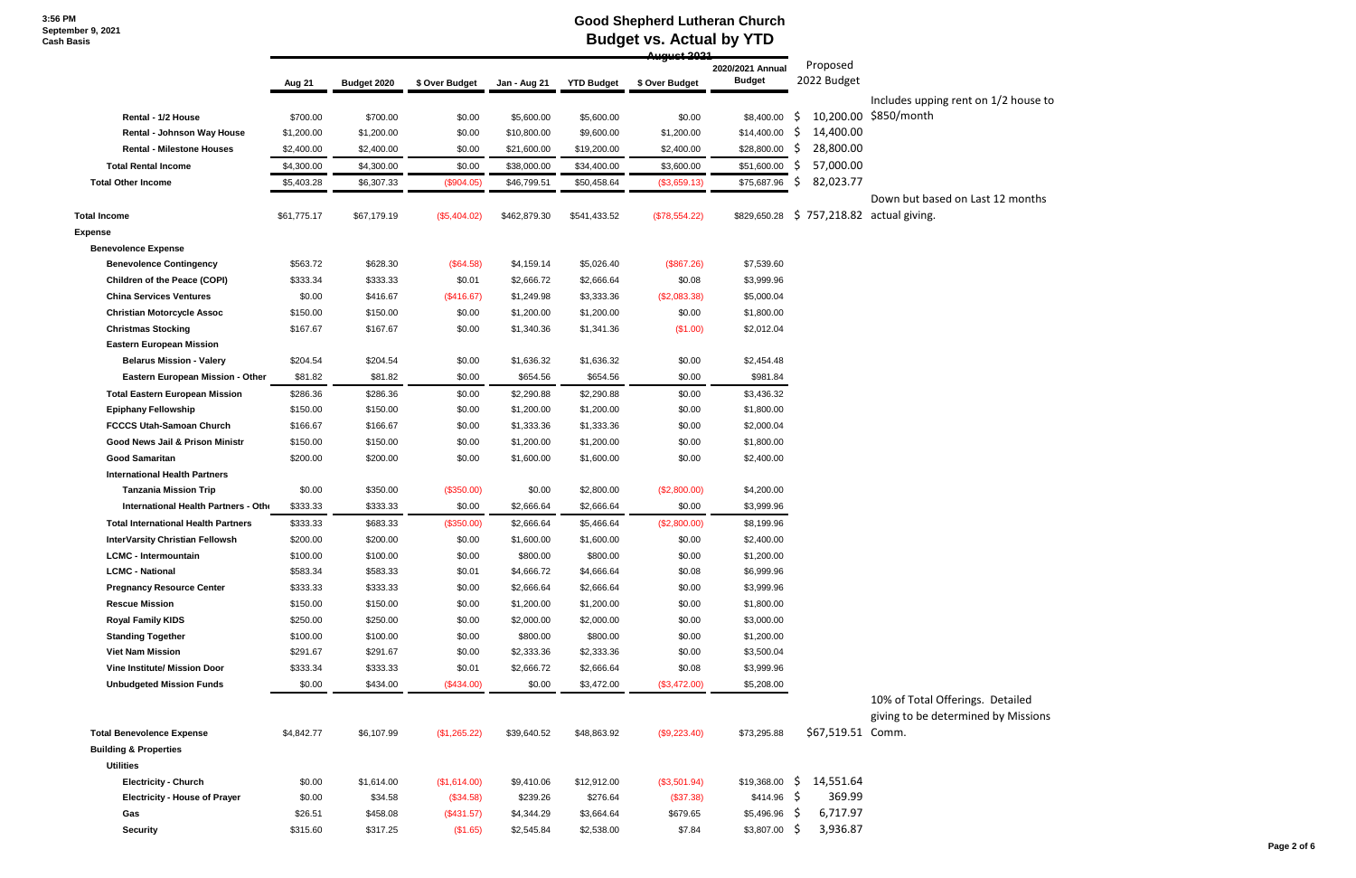## **Good Shepherd Lutheran Church Budget vs. Actual by YTD**

|                                            |             |             |                |              |                   | 0. مصطفى مستد  |                  |                   |                                                    |
|--------------------------------------------|-------------|-------------|----------------|--------------|-------------------|----------------|------------------|-------------------|----------------------------------------------------|
|                                            |             |             |                |              |                   |                | 2020/2021 Annual | Proposed          |                                                    |
|                                            | Aug 21      | Budget 2020 | \$ Over Budget | Jan - Aug 21 | <b>YTD Budget</b> | \$ Over Budget | <b>Budget</b>    | 2022 Budget       |                                                    |
|                                            |             |             |                |              |                   |                |                  |                   | Includes upping rent on 1<br>10,200.00 \$850/month |
| Rental - 1/2 House                         | \$700.00    | \$700.00    | \$0.00         | \$5,600.00   | \$5,600.00        | \$0.00         | \$8,400.00       | S                 |                                                    |
| <b>Rental - Johnson Way House</b>          | \$1,200.00  | \$1,200.00  | \$0.00         | \$10,800.00  | \$9,600.00        | \$1,200.00     | \$14,400.00      | 14,400.00<br>S    |                                                    |
| <b>Rental - Milestone Houses</b>           | \$2,400.00  | \$2,400.00  | \$0.00         | \$21,600.00  | \$19,200.00       | \$2,400.00     | \$28,800.00      | 28,800.00<br>S    |                                                    |
| <b>Total Rental Income</b>                 | \$4,300.00  | \$4,300.00  | \$0.00         | \$38,000.00  | \$34,400.00       | \$3,600.00     | \$51,600.00      | 57,000.00         |                                                    |
| <b>Total Other Income</b>                  | \$5,403.28  | \$6,307.33  | (\$904.05)     | \$46,799.51  | \$50,458.64       | (\$3,659.13)   | \$75,687.96      | 82,023.77<br>S    |                                                    |
|                                            |             |             |                |              |                   |                |                  |                   | Down but based on Last 1                           |
| <b>Total Income</b>                        | \$61,775.17 | \$67,179.19 | (\$5,404.02)   | \$462,879.30 | \$541,433.52      | (\$78,554.22)  | \$829,650.28     | \$757,218.82      | actual giving.                                     |
| <b>Expense</b>                             |             |             |                |              |                   |                |                  |                   |                                                    |
| <b>Benevolence Expense</b>                 |             |             |                |              |                   |                |                  |                   |                                                    |
| <b>Benevolence Contingency</b>             | \$563.72    | \$628.30    | (\$64.58)      | \$4,159.14   | \$5,026.40        | (\$867.26)     | \$7,539.60       |                   |                                                    |
| <b>Children of the Peace (COPI)</b>        | \$333.34    | \$333.33    | \$0.01         | \$2,666.72   | \$2,666.64        | \$0.08         | \$3,999.96       |                   |                                                    |
| <b>China Services Ventures</b>             | \$0.00      | \$416.67    | (\$416.67)     | \$1,249.98   | \$3,333.36        | (\$2,083.38)   | \$5,000.04       |                   |                                                    |
| <b>Christian Motorcycle Assoc</b>          | \$150.00    | \$150.00    | \$0.00         | \$1,200.00   | \$1,200.00        | \$0.00         | \$1,800.00       |                   |                                                    |
| <b>Christmas Stocking</b>                  | \$167.67    | \$167.67    | \$0.00         | \$1,340.36   | \$1,341.36        | (\$1.00)       | \$2,012.04       |                   |                                                    |
| <b>Eastern European Mission</b>            |             |             |                |              |                   |                |                  |                   |                                                    |
| <b>Belarus Mission - Valery</b>            | \$204.54    | \$204.54    | \$0.00         | \$1,636.32   | \$1,636.32        | \$0.00         | \$2,454.48       |                   |                                                    |
| Eastern European Mission - Other           | \$81.82     | \$81.82     | \$0.00         | \$654.56     | \$654.56          | \$0.00         | \$981.84         |                   |                                                    |
| <b>Total Eastern European Mission</b>      | \$286.36    | \$286.36    | \$0.00         | \$2,290.88   | \$2,290.88        | \$0.00         | \$3,436.32       |                   |                                                    |
| <b>Epiphany Fellowship</b>                 | \$150.00    | \$150.00    | \$0.00         | \$1,200.00   | \$1,200.00        | \$0.00         | \$1,800.00       |                   |                                                    |
| <b>FCCCS Utah-Samoan Church</b>            | \$166.67    | \$166.67    | \$0.00         | \$1,333.36   | \$1,333.36        | \$0.00         | \$2,000.04       |                   |                                                    |
| Good News Jail & Prison Ministr            | \$150.00    | \$150.00    | \$0.00         | \$1,200.00   | \$1,200.00        | \$0.00         | \$1,800.00       |                   |                                                    |
| <b>Good Samaritan</b>                      | \$200.00    | \$200.00    | \$0.00         | \$1,600.00   | \$1,600.00        | \$0.00         | \$2,400.00       |                   |                                                    |
| <b>International Health Partners</b>       |             |             |                |              |                   |                |                  |                   |                                                    |
| <b>Tanzania Mission Trip</b>               | \$0.00      | \$350.00    | (\$350.00)     | \$0.00       | \$2,800.00        | (\$2,800.00)   | \$4,200.00       |                   |                                                    |
| International Health Partners - Othe       | \$333.33    | \$333.33    | \$0.00         | \$2,666.64   | \$2,666.64        | \$0.00         | \$3,999.96       |                   |                                                    |
| <b>Total International Health Partners</b> | \$333.33    | \$683.33    | (\$350.00)     | \$2,666.64   | \$5,466.64        | (\$2,800.00)   | \$8,199.96       |                   |                                                    |
| <b>InterVarsity Christian Fellowsh</b>     | \$200.00    | \$200.00    | \$0.00         | \$1,600.00   | \$1,600.00        | \$0.00         | \$2,400.00       |                   |                                                    |
| <b>LCMC - Intermountain</b>                | \$100.00    | \$100.00    | \$0.00         | \$800.00     | \$800.00          | \$0.00         | \$1,200.00       |                   |                                                    |
| <b>LCMC - National</b>                     | \$583.34    | \$583.33    | \$0.01         | \$4,666.72   | \$4,666.64        | \$0.08         | \$6,999.96       |                   |                                                    |
| <b>Pregnancy Resource Center</b>           | \$333.33    | \$333.33    | \$0.00         | \$2,666.64   | \$2,666.64        | \$0.00         | \$3,999.96       |                   |                                                    |
| <b>Rescue Mission</b>                      | \$150.00    | \$150.00    | \$0.00         | \$1,200.00   | \$1,200.00        | \$0.00         | \$1,800.00       |                   |                                                    |
| <b>Royal Family KIDS</b>                   | \$250.00    | \$250.00    | \$0.00         | \$2,000.00   | \$2,000.00        | \$0.00         | \$3,000.00       |                   |                                                    |
| <b>Standing Together</b>                   | \$100.00    | \$100.00    | \$0.00         | \$800.00     | \$800.00          | \$0.00         | \$1,200.00       |                   |                                                    |
| <b>Viet Nam Mission</b>                    | \$291.67    | \$291.67    | \$0.00         | \$2,333.36   | \$2,333.36        | \$0.00         | \$3,500.04       |                   |                                                    |
| <b>Vine Institute/ Mission Door</b>        | \$333.34    | \$333.33    | \$0.01         | \$2,666.72   | \$2,666.64        | \$0.08         | \$3,999.96       |                   |                                                    |
| <b>Unbudgeted Mission Funds</b>            | \$0.00      | \$434.00    | (\$434.00)     | \$0.00       | \$3,472.00        | (\$3,472.00)   | \$5,208.00       |                   |                                                    |
|                                            |             |             |                |              |                   |                |                  |                   | 10% of Total Offerings. D                          |
|                                            |             |             |                |              |                   |                |                  |                   | giving to be determined b                          |
| <b>Total Benevolence Expense</b>           | \$4,842.77  | \$6,107.99  | (\$1,265.22)   | \$39,640.52  | \$48,863.92       | (\$9,223.40)   | \$73,295.88      | \$67,519.51 Comm. |                                                    |
| <b>Building &amp; Properties</b>           |             |             |                |              |                   |                |                  |                   |                                                    |
| <b>Utilities</b>                           |             |             |                |              |                   |                |                  |                   |                                                    |
| <b>Electricity - Church</b>                | \$0.00      | \$1,614.00  | (\$1,614.00)   | \$9,410.06   | \$12,912.00       | (\$3,501.94)   | \$19,368.00      | 14,551.64<br>-Ş   |                                                    |
| <b>Electricity - House of Prayer</b>       | \$0.00      | \$34.58     | (\$34.58)      | \$239.26     | \$276.64          | (\$37.38)      | $$414.96$ \$     | 369.99            |                                                    |
| Gas                                        | \$26.51     | \$458.08    | (\$431.57)     | \$4,344.29   | \$3,664.64        | \$679.65       | $$5,496.96$ \$   | 6,717.97          |                                                    |
| <b>Security</b>                            | \$315.60    | \$317.25    | (\$1.65)       | \$2,545.84   | \$2,538.00        | \$7.84         | $$3,807.00$ \$   | 3,936.87          |                                                    |
|                                            |             |             |                |              |                   |                |                  |                   |                                                    |

 $1/2$  house to

12 months

Detailed by Missions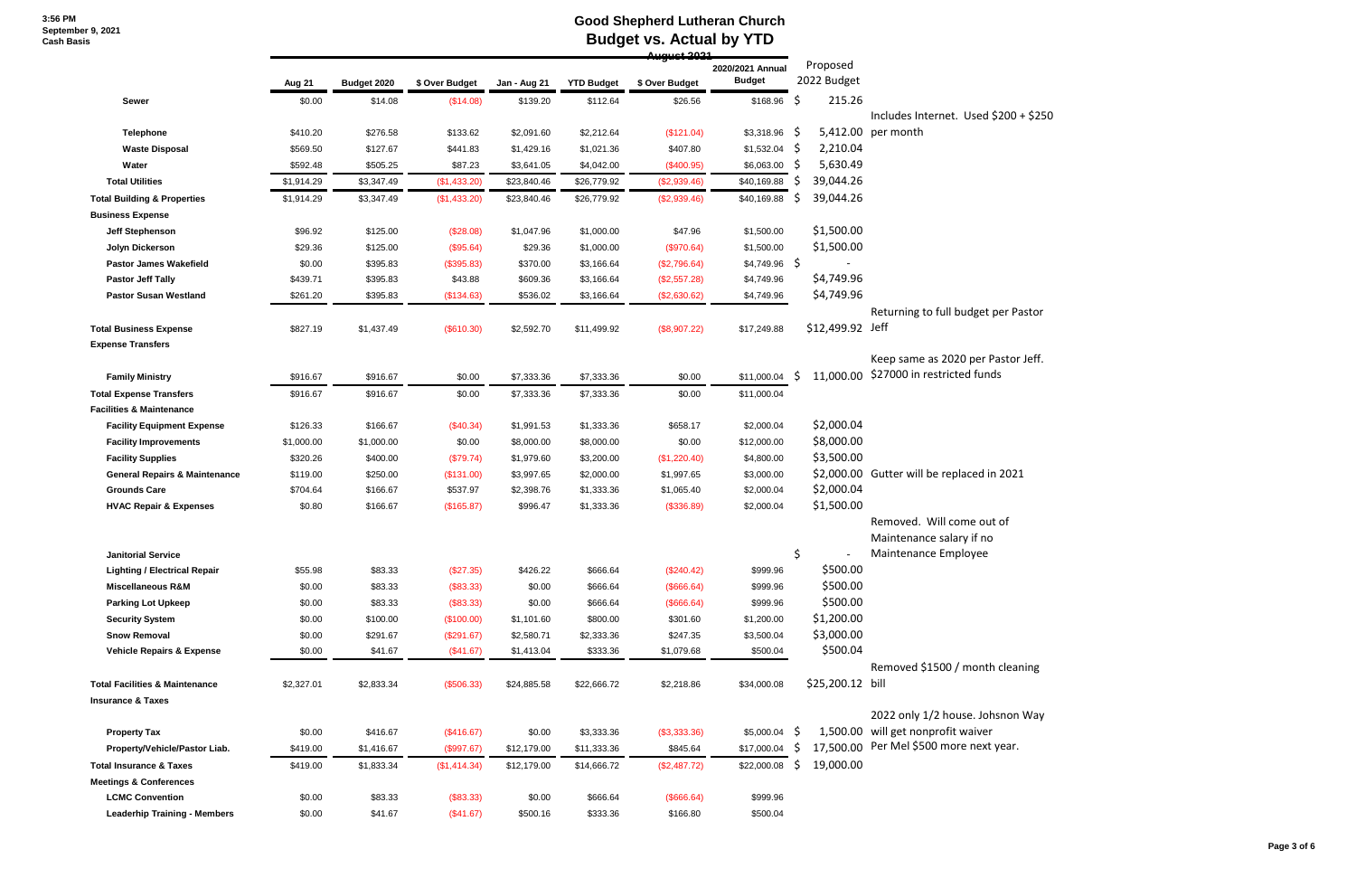## **Good Shepherd Lutheran Church Budget vs. Actual by YTD**

|                                           | 4سمسمس     |             |                |              |                   |                |                                   |                           |                                              |  |  |
|-------------------------------------------|------------|-------------|----------------|--------------|-------------------|----------------|-----------------------------------|---------------------------|----------------------------------------------|--|--|
|                                           | Aug 21     | Budget 2020 | \$ Over Budget | Jan - Aug 21 | <b>YTD Budget</b> | \$ Over Budget | 2020/2021 Annual<br><b>Budget</b> | Proposed<br>2022 Budget   |                                              |  |  |
| <b>Sewer</b>                              | \$0.00     | \$14.08     | (\$14.08)      | \$139.20     | \$112.64          | \$26.56        | \$168.96                          | \$<br>215.26              |                                              |  |  |
| <b>Telephone</b>                          | \$410.20   | \$276.58    | \$133.62       | \$2,091.60   | \$2,212.64        | (\$121.04)     | $$3,318.96$ \$                    | 5,412.00                  | Includes Internet. Used \$200 +<br>per month |  |  |
| <b>Waste Disposal</b>                     | \$569.50   | \$127.67    | \$441.83       | \$1,429.16   | \$1,021.36        | \$407.80       | $$1,532.04$ \$                    | 2,210.04                  |                                              |  |  |
| Water                                     | \$592.48   | \$505.25    | \$87.23        | \$3,641.05   | \$4,042.00        | (\$400.95)     | \$6,063.00                        | 5,630.49<br>-Ş            |                                              |  |  |
| <b>Total Utilities</b>                    | \$1,914.29 | \$3,347.49  | (\$1,433.20)   | \$23,840.46  | \$26,779.92       | (\$2,939.46)   | \$40,169.88                       | 39,044.26<br>S            |                                              |  |  |
| <b>Total Building &amp; Properties</b>    | \$1,914.29 | \$3,347.49  | (\$1,433.20)   | \$23,840.46  | \$26,779.92       | (\$2,939.46)   | \$40,169.88                       | 39,044.26<br><sub>S</sub> |                                              |  |  |
| <b>Business Expense</b>                   |            |             |                |              |                   |                |                                   |                           |                                              |  |  |
| <b>Jeff Stephenson</b>                    | \$96.92    | \$125.00    | (\$28.08)      | \$1,047.96   | \$1,000.00        | \$47.96        | \$1,500.00                        | \$1,500.00                |                                              |  |  |
| Jolyn Dickerson                           | \$29.36    | \$125.00    | (\$95.64)      | \$29.36      | \$1,000.00        | (\$970.64)     | \$1,500.00                        | \$1,500.00                |                                              |  |  |
| <b>Pastor James Wakefield</b>             | \$0.00     | \$395.83    | (\$395.83)     | \$370.00     | \$3,166.64        | (\$2,796.64)   | $$4,749.96$ \$                    |                           |                                              |  |  |
| <b>Pastor Jeff Tally</b>                  | \$439.71   | \$395.83    | \$43.88        | \$609.36     | \$3,166.64        | (\$2,557.28)   | \$4,749.96                        | \$4,749.96                |                                              |  |  |
| <b>Pastor Susan Westland</b>              | \$261.20   | \$395.83    | (\$134.63)     | \$536.02     | \$3,166.64        | (\$2,630.62)   | \$4,749.96                        | \$4,749.96                |                                              |  |  |
|                                           |            |             |                |              |                   |                |                                   |                           | Returning to full budget per Pa              |  |  |
| <b>Total Business Expense</b>             | \$827.19   | \$1,437.49  | (\$610.30)     | \$2,592.70   | \$11,499.92       | (\$8,907.22)   | \$17,249.88                       | \$12,499.92 Jeff          |                                              |  |  |
| <b>Expense Transfers</b>                  |            |             |                |              |                   |                |                                   |                           |                                              |  |  |
|                                           |            |             |                |              |                   |                |                                   |                           | Keep same as 2020 per Pastor                 |  |  |
| <b>Family Ministry</b>                    | \$916.67   | \$916.67    | \$0.00         | \$7,333.36   | \$7,333.36        | \$0.00         | \$11,000.04                       | 11,000.00<br>S            | \$27000 in restricted funds                  |  |  |
| <b>Total Expense Transfers</b>            | \$916.67   | \$916.67    | \$0.00         | \$7,333.36   | \$7,333.36        | \$0.00         | \$11,000.04                       |                           |                                              |  |  |
| <b>Facilities &amp; Maintenance</b>       |            |             |                |              |                   |                |                                   |                           |                                              |  |  |
| <b>Facility Equipment Expense</b>         | \$126.33   | \$166.67    | $(\$40.34)$    | \$1,991.53   | \$1,333.36        | \$658.17       | \$2,000.04                        | \$2,000.04                |                                              |  |  |
| <b>Facility Improvements</b>              | \$1,000.00 | \$1,000.00  | \$0.00         | \$8,000.00   | \$8,000.00        | \$0.00         | \$12,000.00                       | \$8,000.00                |                                              |  |  |
| <b>Facility Supplies</b>                  | \$320.26   | \$400.00    | (\$79.74)      | \$1,979.60   | \$3,200.00        | (\$1,220.40)   | \$4,800.00                        | \$3,500.00                |                                              |  |  |
| <b>General Repairs &amp; Maintenance</b>  | \$119.00   | \$250.00    | (\$131.00)     | \$3,997.65   | \$2,000.00        | \$1,997.65     | \$3,000.00                        |                           | \$2,000.00 Gutter will be replaced in 2021   |  |  |
| <b>Grounds Care</b>                       | \$704.64   | \$166.67    | \$537.97       | \$2,398.76   | \$1,333.36        | \$1,065.40     | \$2,000.04                        | \$2,000.04                |                                              |  |  |
| <b>HVAC Repair &amp; Expenses</b>         | \$0.80     | \$166.67    | (\$165.87)     | \$996.47     | \$1,333.36        | (\$336.89)     | \$2,000.04                        | \$1,500.00                |                                              |  |  |
|                                           |            |             |                |              |                   |                |                                   |                           | Removed. Will come out of                    |  |  |
|                                           |            |             |                |              |                   |                |                                   |                           | Maintenance salary if no                     |  |  |
| <b>Janitorial Service</b>                 |            |             |                |              |                   |                |                                   | \$                        | Maintenance Employee                         |  |  |
| <b>Lighting / Electrical Repair</b>       | \$55.98    | \$83.33     | (\$27.35)      | \$426.22     | \$666.64          | (\$240.42)     | \$999.96                          | \$500.00                  |                                              |  |  |
| <b>Miscellaneous R&amp;M</b>              | \$0.00     | \$83.33     | (\$83.33)      | \$0.00       | \$666.64          | (\$666.64)     | \$999.96                          | \$500.00                  |                                              |  |  |
| <b>Parking Lot Upkeep</b>                 | \$0.00     | \$83.33     | (\$83.33)      | \$0.00       | \$666.64          | (\$666.64)     | \$999.96                          | \$500.00                  |                                              |  |  |
| <b>Security System</b>                    | \$0.00     | \$100.00    | (\$100.00)     | \$1,101.60   | \$800.00          | \$301.60       | \$1,200.00                        | \$1,200.00                |                                              |  |  |
| <b>Snow Removal</b>                       | \$0.00     | \$291.67    | (\$291.67)     | \$2,580.71   | \$2,333.36        | \$247.35       | \$3,500.04                        | \$3,000.00                |                                              |  |  |
| <b>Vehicle Repairs &amp; Expense</b>      | \$0.00     | \$41.67     | (\$41.67)      | \$1,413.04   | \$333.36          | \$1,079.68     | \$500.04                          | \$500.04                  |                                              |  |  |
|                                           |            |             |                |              |                   |                |                                   |                           | Removed \$1500 / month clean                 |  |  |
| <b>Total Facilities &amp; Maintenance</b> | \$2,327.01 | \$2,833.34  | (\$506.33)     | \$24,885.58  | \$22,666.72       | \$2,218.86     | \$34,000.08                       | \$25,200.12 bill          |                                              |  |  |
| <b>Insurance &amp; Taxes</b>              |            |             |                |              |                   |                |                                   |                           |                                              |  |  |
|                                           |            |             |                |              |                   |                |                                   |                           | 2022 only 1/2 house. Johsnon                 |  |  |
| <b>Property Tax</b>                       | \$0.00     | \$416.67    | (\$416.67)     | \$0.00       | \$3,333.36        | (\$3,333.36)   | \$5,000.04                        | 1,500.00<br>-S            | will get nonprofit waiver                    |  |  |
| Property/Vehicle/Pastor Liab.             | \$419.00   | \$1,416.67  | (\$997.67)     | \$12,179.00  | \$11,333.36       | \$845.64       | \$17,000.04                       | 17,500.00<br>-Ş           | Per Mel \$500 more next year.                |  |  |
| <b>Total Insurance &amp; Taxes</b>        | \$419.00   | \$1,833.34  | (\$1,414.34)   | \$12,179.00  | \$14,666.72       | (\$2,487.72)   | \$22,000.08                       | 19,000.00<br>\$.          |                                              |  |  |
| <b>Meetings &amp; Conferences</b>         |            |             |                |              |                   |                |                                   |                           |                                              |  |  |
| <b>LCMC Convention</b>                    | \$0.00     | \$83.33     | (\$83.33)      | \$0.00       | \$666.64          | (\$666.64)     | \$999.96                          |                           |                                              |  |  |
| <b>Leaderhip Training - Members</b>       | \$0.00     | \$41.67     | $(\$41.67)$    | \$500.16     | \$333.36          | \$166.80       | \$500.04                          |                           |                                              |  |  |

 $$200 + $250$ 

per Pastor

astor Jeff.

n cleaning

hsnon Way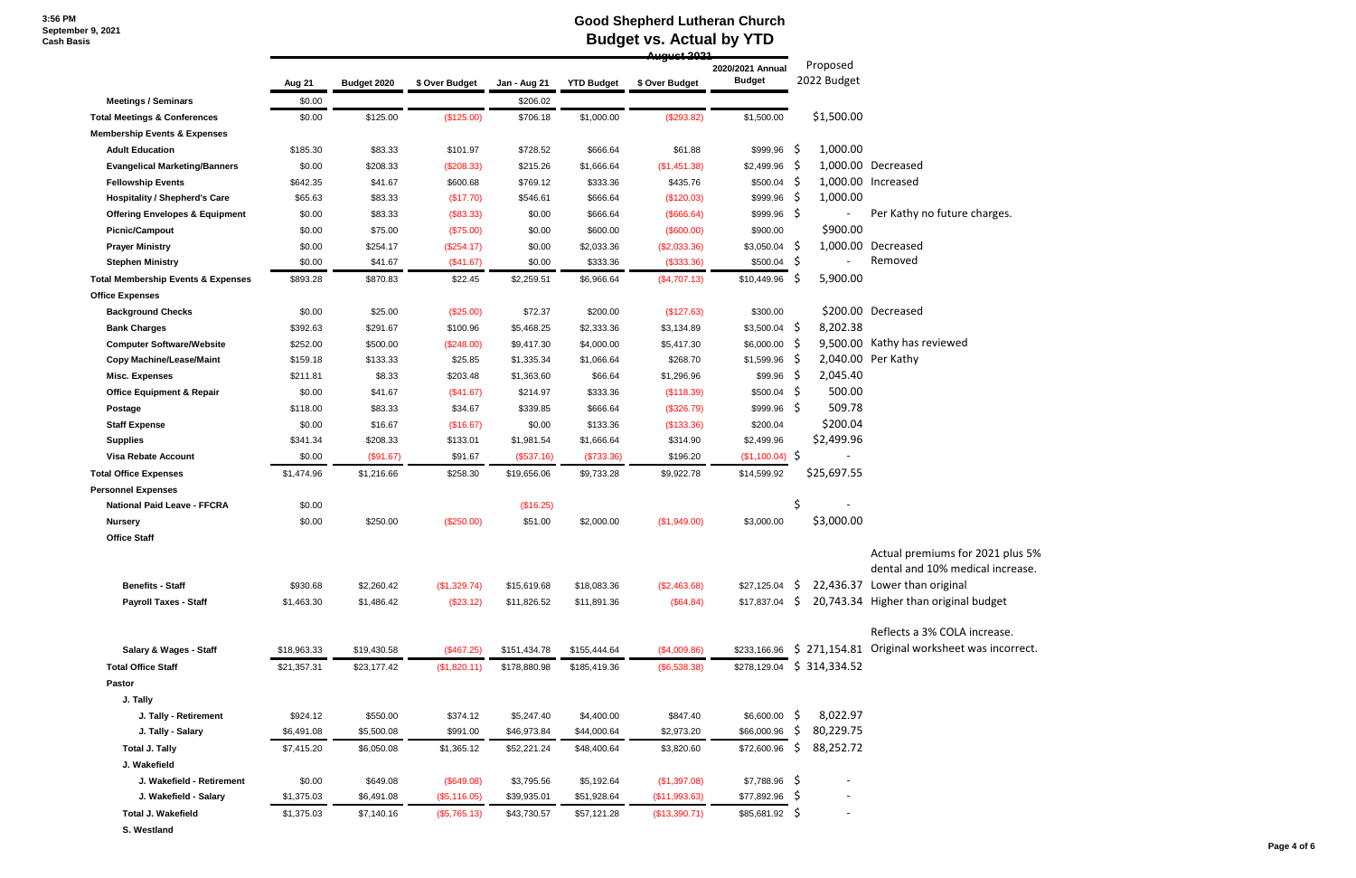## **Good Shepherd Lutheran Church Budget vs. Actual by YTD**

|                                               |             |             |                |              |                   |                | 0مصف عميسه بيه                    |                            |                                           |
|-----------------------------------------------|-------------|-------------|----------------|--------------|-------------------|----------------|-----------------------------------|----------------------------|-------------------------------------------|
|                                               | Aug 21      | Budget 2020 | \$ Over Budget | Jan - Aug 21 | <b>YTD Budget</b> | \$ Over Budget | 2020/2021 Annual<br><b>Budget</b> | Proposed<br>2022 Budget    |                                           |
| <b>Meetings / Seminars</b>                    | \$0.00      |             |                | \$206.02     |                   |                |                                   |                            |                                           |
| <b>Total Meetings &amp; Conferences</b>       | \$0.00      | \$125.00    | (\$125.00)     | \$706.18     | \$1,000.00        | (\$293.82)     | \$1,500.00                        | \$1,500.00                 |                                           |
| <b>Membership Events &amp; Expenses</b>       |             |             |                |              |                   |                |                                   |                            |                                           |
| <b>Adult Education</b>                        | \$185.30    | \$83.33     | \$101.97       | \$728.52     | \$666.64          | \$61.88        | \$999.96                          | -\$<br>1,000.00            |                                           |
| <b>Evangelical Marketing/Banners</b>          | \$0.00      | \$208.33    | (\$208.33)     | \$215.26     | \$1,666.64        | (\$1,451.38)   | \$2,499.96                        | - S                        | 1,000.00 Decreased                        |
| <b>Fellowship Events</b>                      | \$642.35    | \$41.67     | \$600.68       | \$769.12     | \$333.36          | \$435.76       | \$500.04                          | -Ş                         | 1,000.00 Increased                        |
| <b>Hospitality / Shepherd's Care</b>          | \$65.63     | \$83.33     | (\$17.70)      | \$546.61     | \$666.64          | (\$120.03)     | \$999.96                          | 1,000.00<br>-S             |                                           |
| <b>Offering Envelopes &amp; Equipment</b>     | \$0.00      | \$83.33     | (\$83.33)      | \$0.00       | \$666.64          | (\$666.64)     | $$999.96$ \$                      |                            | Per Kathy no future charges.              |
| <b>Picnic/Campout</b>                         | \$0.00      | \$75.00     | (\$75.00)      | \$0.00       | \$600.00          | (\$600.00)     | \$900.00                          | \$900.00                   |                                           |
| <b>Prayer Ministry</b>                        | \$0.00      | \$254.17    | (\$254.17)     | \$0.00       | \$2,033.36        | (\$2,033.36)   | $$3,050.04$ \$                    |                            | 1,000.00 Decreased                        |
| <b>Stephen Ministry</b>                       | \$0.00      | \$41.67     | (\$41.67)      | \$0.00       | \$333.36          | (\$333.36)     | \$500.04                          | -Ş                         | Removed                                   |
| <b>Total Membership Events &amp; Expenses</b> | \$893.28    | \$870.83    | \$22.45        | \$2,259.51   | \$6,966.64        | (\$4,707.13)   | \$10,449.96                       | 5,900.00<br>S              |                                           |
| <b>Office Expenses</b>                        |             |             |                |              |                   |                |                                   |                            |                                           |
| <b>Background Checks</b>                      | \$0.00      | \$25.00     | $(\$25.00)$    | \$72.37      | \$200.00          | (\$127.63)     | \$300.00                          |                            | \$200.00 Decreased                        |
| <b>Bank Charges</b>                           | \$392.63    | \$291.67    | \$100.96       | \$5,468.25   | \$2,333.36        | \$3,134.89     | $$3,500.04$ \$                    | 8,202.38                   |                                           |
| <b>Computer Software/Website</b>              | \$252.00    | \$500.00    | (\$248.00)     | \$9,417.30   | \$4,000.00        | \$5,417.30     | $$6,000.00$ \$                    |                            | 9,500.00 Kathy has reviewed               |
| <b>Copy Machine/Lease/Maint</b>               | \$159.18    | \$133.33    | \$25.85        | \$1,335.34   | \$1,066.64        | \$268.70       | \$1,599.96                        | -S                         | 2,040.00 Per Kathy                        |
| <b>Misc. Expenses</b>                         | \$211.81    | \$8.33      | \$203.48       | \$1,363.60   | \$66.64           | \$1,296.96     | \$99.96                           | 2,045.40<br>-Ş             |                                           |
| <b>Office Equipment &amp; Repair</b>          | \$0.00      | \$41.67     | (\$41.67)      | \$214.97     | \$333.36          | (\$118.39)     | \$500.04                          | 500.00<br>-S               |                                           |
| Postage                                       | \$118.00    | \$83.33     | \$34.67        | \$339.85     | \$666.64          | (\$326.79)     | \$999.96                          | 509.78<br>-Ş               |                                           |
| <b>Staff Expense</b>                          | \$0.00      | \$16.67     | (\$16.67)      | \$0.00       | \$133.36          | (\$133.36)     | \$200.04                          | \$200.04                   |                                           |
| <b>Supplies</b>                               | \$341.34    | \$208.33    | \$133.01       | \$1,981.54   | \$1,666.64        | \$314.90       | \$2,499.96                        | \$2,499.96                 |                                           |
| <b>Visa Rebate Account</b>                    | \$0.00      | (\$91.67)   | \$91.67        | (\$537.16)   | (\$733.36)        | \$196.20       | (\$1,100.04)                      | $\ddot{\varsigma}$         |                                           |
| <b>Total Office Expenses</b>                  | \$1,474.96  | \$1,216.66  | \$258.30       | \$19,656.06  | \$9,733.28        | \$9,922.78     | \$14,599.92                       | \$25,697.55                |                                           |
| <b>Personnel Expenses</b>                     |             |             |                |              |                   |                |                                   |                            |                                           |
| <b>National Paid Leave - FFCRA</b>            | \$0.00      |             |                | (\$16.25)    |                   |                |                                   | \$                         |                                           |
| <b>Nursery</b>                                | \$0.00      | \$250.00    | (\$250.00)     | \$51.00      | \$2,000.00        | (\$1,949.00)   | \$3,000.00                        | \$3,000.00                 |                                           |
| <b>Office Staff</b>                           |             |             |                |              |                   |                |                                   |                            |                                           |
|                                               |             |             |                |              |                   |                |                                   |                            | Actual premiums for 2021 pl               |
|                                               |             |             |                |              |                   |                |                                   |                            | dental and 10% medical incr               |
| <b>Benefits - Staff</b>                       | \$930.68    | \$2,260.42  | (\$1,329.74)   | \$15,619.68  | \$18,083.36       | (\$2,463.68)   | $$27,125.04$ \$                   |                            | 22,436.37 Lower than original             |
| <b>Payroll Taxes - Staff</b>                  | \$1,463.30  | \$1,486.42  | $(\$23.12)$    | \$11,826.52  | \$11,891.36       | (\$64.84)      | $$17,837.04$ \$                   |                            | 20,743.34 Higher than original budget     |
|                                               |             |             |                |              |                   |                |                                   |                            | Reflects a 3% COLA increase.              |
| <b>Salary &amp; Wages - Staff</b>             | \$18,963.33 | \$19,430.58 | (\$467.25)     | \$151,434.78 | \$155,444.64      | (\$4,009.86)   | \$233,166.96                      |                            | \$ 271,154.81 Original worksheet was inco |
| <b>Total Office Staff</b>                     | \$21,357.31 | \$23,177.42 | (\$1,820.11)   | \$178,880.98 | \$185,419.36      | (\$6,538.38)   |                                   | \$278,129.04 \$ 314,334.52 |                                           |
| Pastor                                        |             |             |                |              |                   |                |                                   |                            |                                           |
| J. Tally                                      |             |             |                |              |                   |                |                                   |                            |                                           |
| J. Tally - Retirement                         | \$924.12    | \$550.00    | \$374.12       | \$5,247.40   | \$4,400.00        | \$847.40       | \$6,600.00                        | 8,022.97<br>-Ş             |                                           |
| J. Tally - Salary                             | \$6,491.08  | \$5,500.08  | \$991.00       | \$46,973.84  | \$44,000.64       | \$2,973.20     | \$66,000.96                       | 80,229.75<br>-S            |                                           |
| <b>Total J. Tally</b>                         | \$7,415.20  | \$6,050.08  | \$1,365.12     | \$52,221.24  | \$48,400.64       | \$3,820.60     | \$72,600.96                       | 88,252.72<br>S.            |                                           |
| J. Wakefield                                  |             |             |                |              |                   |                |                                   |                            |                                           |
| J. Wakefield - Retirement                     | \$0.00      | \$649.08    | (\$649.08)     | \$3,795.56   | \$5,192.64        | (\$1,397.08)   | $$7,788.96$ \$                    |                            |                                           |
| J. Wakefield - Salary                         | \$1,375.03  | \$6,491.08  | (\$5,116.05)   | \$39,935.01  | \$51,928.64       | (\$11,993.63)  | \$77,892.96                       | -S                         |                                           |
| <b>Total J. Wakefield</b>                     | \$1,375.03  | \$7,140.16  | (\$5,765.13)   | \$43,730.57  | \$57,121.28       | (\$13,390.71)  | \$85,681.92 \$                    |                            |                                           |
| S. Westland                                   |             |             |                |              |                   |                |                                   |                            |                                           |

 $1$  plus 5% ncrease.

ase. ncorrect.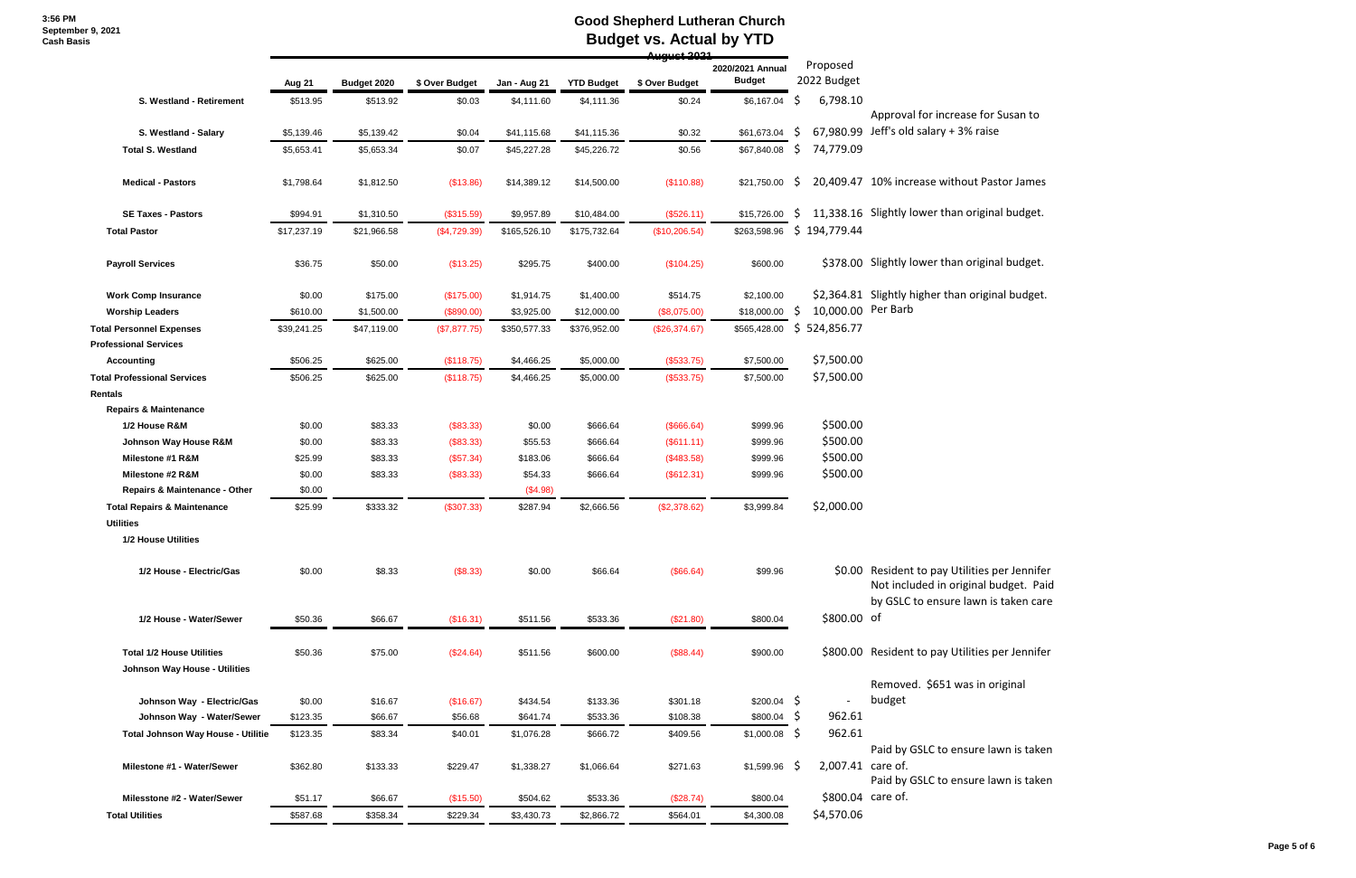#### **Good Shepherd Lutheran Church Budget vs. Actual by YTD**

|                                        |             |             |                |              |                   | 4سمسمس         |                                   |     |                         |                                                                                                                                |
|----------------------------------------|-------------|-------------|----------------|--------------|-------------------|----------------|-----------------------------------|-----|-------------------------|--------------------------------------------------------------------------------------------------------------------------------|
|                                        | Aug 21      | Budget 2020 | \$ Over Budget | Jan - Aug 21 | <b>YTD Budget</b> | \$ Over Budget | 2020/2021 Annual<br><b>Budget</b> |     | Proposed<br>2022 Budget |                                                                                                                                |
| S. Westland - Retirement               | \$513.95    | \$513.92    | \$0.03         | \$4,111.60   | \$4,111.36        | \$0.24         | \$6,167.04                        | \$  | 6,798.10                |                                                                                                                                |
|                                        |             |             |                |              |                   |                |                                   | S   | 67,980.99               | Approval for increase for Susan to<br>Jeff's old salary + 3% raise                                                             |
| S. Westland - Salary                   | \$5,139.46  | \$5,139.42  | \$0.04         | \$41,115.68  | \$41,115.36       | \$0.32         | \$61,673.04                       |     |                         |                                                                                                                                |
| <b>Total S. Westland</b>               | \$5,653.41  | \$5,653.34  | \$0.07         | \$45,227.28  | \$45,226.72       | \$0.56         | \$67,840.08                       | \$  | 74,779.09               |                                                                                                                                |
| <b>Medical - Pastors</b>               | \$1,798.64  | \$1,812.50  | (\$13.86)      | \$14,389.12  | \$14,500.00       | (\$110.88)     | \$21,750.00                       | S.  |                         | 20,409.47 10% increase without Pastor James                                                                                    |
| <b>SE Taxes - Pastors</b>              | \$994.91    | \$1,310.50  | (\$315.59)     | \$9,957.89   | \$10,484.00       | (\$526.11)     | \$15,726.00                       | \$. |                         | 11,338.16 Slightly lower than original budget.                                                                                 |
| <b>Total Pastor</b>                    | \$17,237.19 | \$21,966.58 | (\$4,729.39)   | \$165,526.10 | \$175,732.64      | (\$10,206.54)  | \$263,598.96                      |     | \$194,779.44            |                                                                                                                                |
| <b>Payroll Services</b>                | \$36.75     | \$50.00     | (\$13.25)      | \$295.75     | \$400.00          | (\$104.25)     | \$600.00                          |     |                         | \$378.00 Slightly lower than original budget.                                                                                  |
| <b>Work Comp Insurance</b>             | \$0.00      | \$175.00    | (\$175.00)     | \$1,914.75   | \$1,400.00        | \$514.75       | \$2,100.00                        |     |                         | \$2,364.81 Slightly higher than original budget.                                                                               |
| <b>Worship Leaders</b>                 | \$610.00    | \$1,500.00  | (\$890.00)     | \$3,925.00   | \$12,000.00       | (\$8,075.00)   | \$18,000.00                       | \$. | 10,000.00 Per Barb      |                                                                                                                                |
| <b>Total Personnel Expenses</b>        | \$39,241.25 | \$47,119.00 | (\$7,877.75)   | \$350,577.33 | \$376,952.00      | (\$26,374.67)  | \$565,428.00                      | \$  | 524,856.77              |                                                                                                                                |
| <b>Professional Services</b>           |             |             |                |              |                   |                |                                   |     |                         |                                                                                                                                |
| <b>Accounting</b>                      | \$506.25    | \$625.00    | (\$118.75)     | \$4,466.25   | \$5,000.00        | (\$533.75)     | \$7,500.00                        |     | \$7,500.00              |                                                                                                                                |
| <b>Total Professional Services</b>     | \$506.25    | \$625.00    | (\$118.75)     | \$4,466.25   | \$5,000.00        | (\$533.75)     | \$7,500.00                        |     | \$7,500.00              |                                                                                                                                |
| Rentals                                |             |             |                |              |                   |                |                                   |     |                         |                                                                                                                                |
| <b>Repairs &amp; Maintenance</b>       |             |             |                |              |                   |                |                                   |     |                         |                                                                                                                                |
| 1/2 House R&M                          | \$0.00      | \$83.33     | (\$83.33)      | \$0.00       | \$666.64          | (\$666.64)     | \$999.96                          |     | \$500.00                |                                                                                                                                |
| Johnson Way House R&M                  | \$0.00      | \$83.33     | (\$83.33)      | \$55.53      | \$666.64          | (S611.11)      | \$999.96                          |     | \$500.00                |                                                                                                                                |
| Milestone #1 R&M                       | \$25.99     | \$83.33     | (\$57.34)      | \$183.06     | \$666.64          | (\$483.58)     | \$999.96                          |     | \$500.00                |                                                                                                                                |
| Milestone #2 R&M                       | \$0.00      | \$83.33     | (\$83.33)      | \$54.33      | \$666.64          | (\$612.31)     | \$999.96                          |     | \$500.00                |                                                                                                                                |
| Repairs & Maintenance - Other          | \$0.00      |             |                | (\$4.98)     |                   |                |                                   |     |                         |                                                                                                                                |
| <b>Total Repairs &amp; Maintenance</b> | \$25.99     | \$333.32    | (\$307.33)     | \$287.94     | \$2,666.56        | (\$2,378.62)   | \$3,999.84                        |     | \$2,000.00              |                                                                                                                                |
| <b>Utilities</b>                       |             |             |                |              |                   |                |                                   |     |                         |                                                                                                                                |
| 1/2 House Utilities                    |             |             |                |              |                   |                |                                   |     |                         |                                                                                                                                |
| 1/2 House - Electric/Gas               | \$0.00      | \$8.33      | (\$8.33)       | \$0.00       | \$66.64           | (\$66.64)      | \$99.96                           |     |                         | \$0.00 Resident to pay Utilities per Jennifer<br>Not included in original budget. Paid<br>by GSLC to ensure lawn is taken care |
| 1/2 House - Water/Sewer                | \$50.36     | \$66.67     | (\$16.31)      | \$511.56     | \$533.36          | (\$21.80)      | \$800.04                          |     | \$800.00 of             |                                                                                                                                |
| <b>Total 1/2 House Utilities</b>       | \$50.36     | \$75.00     | (\$24.64)      | \$511.56     | \$600.00          | (\$88.44)      | \$900.00                          |     |                         | \$800.00 Resident to pay Utilities per Jennifer                                                                                |
| Johnson Way House - Utilities          |             |             |                |              |                   |                |                                   |     |                         | Removed. \$651 was in original                                                                                                 |
| Johnson Way - Electric/Gas             | \$0.00      | \$16.67     | (\$16.67)      | \$434.54     | \$133.36          | \$301.18       | $$200.04$ \$                      |     |                         | budget                                                                                                                         |
| Johnson Way - Water/Sewer              | \$123.35    | \$66.67     | \$56.68        | \$641.74     | \$533.36          | \$108.38       | $$800.04$ \$                      |     | 962.61                  |                                                                                                                                |
|                                        |             |             |                |              |                   |                |                                   |     | 962.61                  |                                                                                                                                |
| Total Johnson Way House - Utilitie     | \$123.35    | \$83.34     | \$40.01        | \$1,076.28   | \$666.72          | \$409.56       | \$1,000.08                        | -\$ |                         | Paid by GSLC to ensure lawn is taker                                                                                           |
| Milestone #1 - Water/Sewer             | \$362.80    | \$133.33    | \$229.47       | \$1,338.27   | \$1,066.64        | \$271.63       | \$1,599.96                        | -\$ | 2,007.41 care of.       | Paid by GSLC to ensure lawn is taker                                                                                           |
| Milesstone #2 - Water/Sewer            | \$51.17     | \$66.67     | (\$15.50)      | \$504.62     | \$533.36          | (\$28.74)      | \$800.04                          |     |                         | \$800.04 care of.                                                                                                              |
| <b>Total Utilities</b>                 | \$587.68    | \$358.34    | \$229.34       | \$3,430.73   | \$2,866.72        | \$564.01       | \$4,300.08                        |     | \$4,570.06              |                                                                                                                                |
|                                        |             |             |                |              |                   |                |                                   |     |                         |                                                                                                                                |

.<br>budget. Paid s taken care

awn is taken

awn is taken